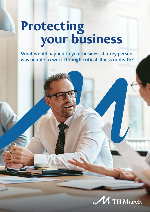# **Protecting** your business

What would happen to your business if a key person, was unable to work through critical illness or death?